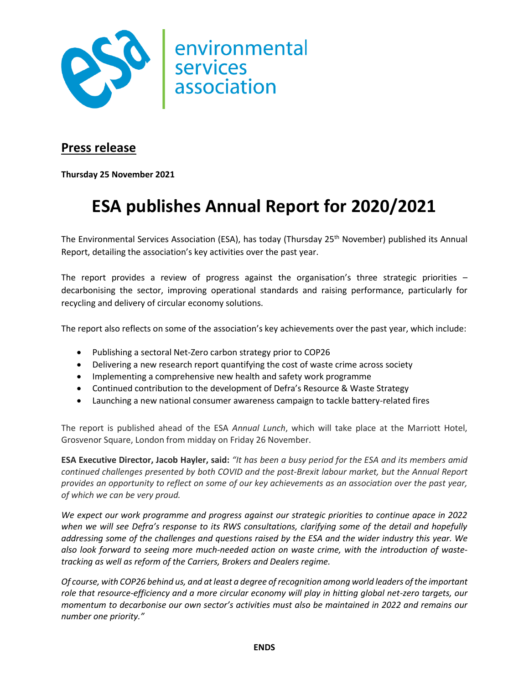

## **Press release**

**Thursday 25 November 2021**

## **ESA publishes Annual Report for 2020/2021**

The Environmental Services Association (ESA), has today (Thursday 25<sup>th</sup> November) published its Annual Report, detailing the association's key activities over the past year.

The report provides a review of progress against the organisation's three strategic priorities – decarbonising the sector, improving operational standards and raising performance, particularly for recycling and delivery of circular economy solutions.

The report also reflects on some of the association's key achievements over the past year, which include:

- Publishing a sectoral Net-Zero carbon strategy prior to COP26
- Delivering a new research report quantifying the cost of waste crime across society
- Implementing a comprehensive new health and safety work programme
- Continued contribution to the development of Defra's Resource & Waste Strategy
- Launching a new national consumer awareness campaign to tackle battery-related fires

The report is published ahead of the ESA *Annual Lunch*, which will take place at the Marriott Hotel, Grosvenor Square, London from midday on Friday 26 November.

**ESA Executive Director, Jacob Hayler, said:** *"It has been a busy period for the ESA and its members amid continued challenges presented by both COVID and the post-Brexit labour market, but the Annual Report provides an opportunity to reflect on some of our key achievements as an association over the past year, of which we can be very proud.*

*We expect our work programme and progress against our strategic priorities to continue apace in 2022 when we will see Defra's response to its RWS consultations, clarifying some of the detail and hopefully addressing some of the challenges and questions raised by the ESA and the wider industry this year. We also look forward to seeing more much-needed action on waste crime, with the introduction of wastetracking as well as reform of the Carriers, Brokers and Dealers regime.* 

*Of course, with COP26 behind us, and at least a degree of recognition among world leaders of the important role that resource-efficiency and a more circular economy will play in hitting global net-zero targets, our momentum to decarbonise our own sector's activities must also be maintained in 2022 and remains our number one priority."*